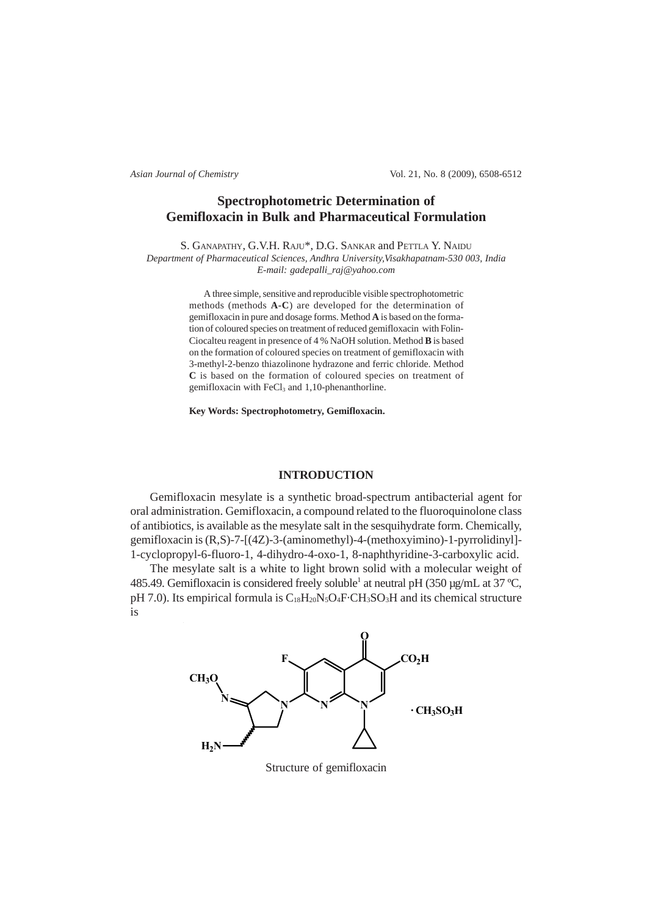*Asian Journal of Chemistry* Vol. 21, No. 8 (2009), 6508-6512

# **Spectrophotometric Determination of Gemifloxacin in Bulk and Pharmaceutical Formulation**

S. GANAPATHY, G.V.H. RAJU\*, D.G. SANKAR and PETTLA Y. NAIDU

*Department of Pharmaceutical Sciences, Andhra University,Visakhapatnam-530 003, India E-mail: gadepalli\_raj@yahoo.com*

> A three simple, sensitive and reproducible visible spectrophotometric methods (methods **A-C**) are developed for the determination of gemifloxacin in pure and dosage forms. Method **A** is based on the formation of coloured species on treatment of reduced gemifloxacin with Folin-Ciocalteu reagent in presence of 4 % NaOH solution. Method **B** is based on the formation of coloured species on treatment of gemifloxacin with 3-methyl-2-benzo thiazolinone hydrazone and ferric chloride. Method **C** is based on the formation of coloured species on treatment of gemifloxacin with  $FeCl<sub>3</sub>$  and 1,10-phenanthorline.

**Key Words: Spectrophotometry, Gemifloxacin.**

## **INTRODUCTION**

Gemifloxacin mesylate is a synthetic broad-spectrum antibacterial agent for oral administration. Gemifloxacin, a compound related to the fluoroquinolone class of antibiotics, is available as the mesylate salt in the sesquihydrate form. Chemically, gemifloxacin is (R,S)-7-[(4Z)-3-(aminomethyl)-4-(methoxyimino)-1-pyrrolidinyl]- 1-cyclopropyl-6-fluoro-1, 4-dihydro-4-oxo-1, 8-naphthyridine-3-carboxylic acid.

The mesylate salt is a white to light brown solid with a molecular weight of 485.49. Gemifloxacin is considered freely soluble<sup>1</sup> at neutral pH (350 µg/mL at 37 °C, pH 7.0). Its empirical formula is  $C_{18}H_{20}N_5O_4F\text{-CH}_3SO_3H$  and its chemical structure is



Structure of gemifloxacin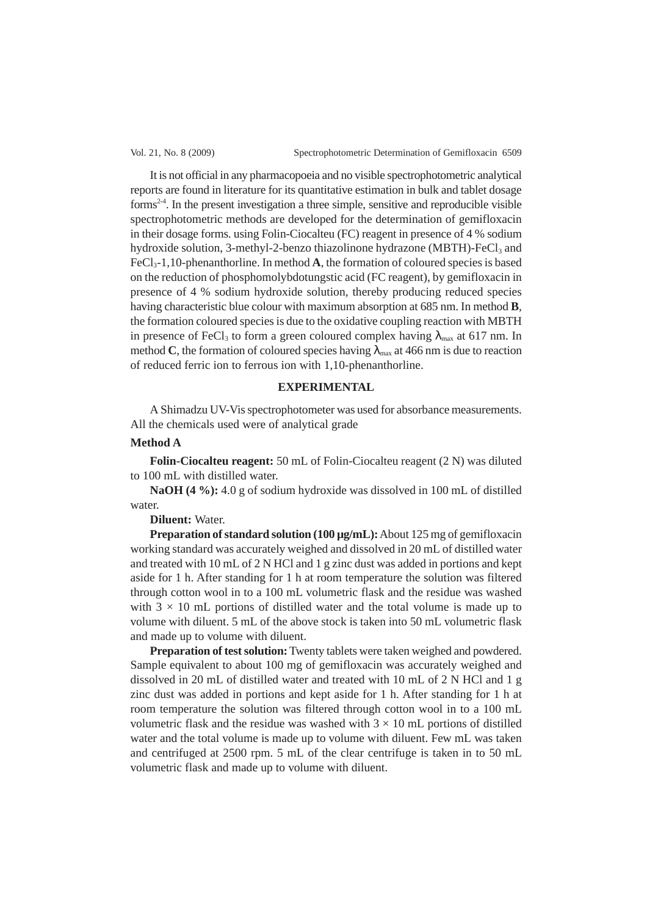It is not official in any pharmacopoeia and no visible spectrophotometric analytical reports are found in literature for its quantitative estimation in bulk and tablet dosage forms<sup>24</sup>. In the present investigation a three simple, sensitive and reproducible visible spectrophotometric methods are developed for the determination of gemifloxacin in their dosage forms. using Folin-Ciocalteu (FC) reagent in presence of 4 % sodium hydroxide solution, 3-methyl-2-benzo thiazolinone hydrazone (MBTH)-FeCl<sub>3</sub> and FeCl3-1,10-phenanthorline. In method **A**, the formation of coloured species is based on the reduction of phosphomolybdotungstic acid (FC reagent), by gemifloxacin in presence of 4 % sodium hydroxide solution, thereby producing reduced species having characteristic blue colour with maximum absorption at 685 nm. In method **B**, the formation coloured species is due to the oxidative coupling reaction with MBTH in presence of FeCl<sub>3</sub> to form a green coloured complex having  $\lambda_{\text{max}}$  at 617 nm. In method **C**, the formation of coloured species having  $\lambda_{\text{max}}$  at 466 nm is due to reaction of reduced ferric ion to ferrous ion with 1,10-phenanthorline.

### **EXPERIMENTAL**

A Shimadzu UV-Vis spectrophotometer was used for absorbance measurements. All the chemicals used were of analytical grade

### **Method A**

**Folin-Ciocalteu reagent:** 50 mL of Folin-Ciocalteu reagent (2 N) was diluted to 100 mL with distilled water.

**NaOH (4 %):** 4.0 g of sodium hydroxide was dissolved in 100 mL of distilled water.

## **Diluent:** Water.

**Preparation of standard solution (100 µg/mL):** About 125 mg of gemifloxacin working standard was accurately weighed and dissolved in 20 mL of distilled water and treated with 10 mL of 2 N HCl and 1 g zinc dust was added in portions and kept aside for 1 h. After standing for 1 h at room temperature the solution was filtered through cotton wool in to a 100 mL volumetric flask and the residue was washed with  $3 \times 10$  mL portions of distilled water and the total volume is made up to volume with diluent. 5 mL of the above stock is taken into 50 mL volumetric flask and made up to volume with diluent.

**Preparation of test solution:** Twenty tablets were taken weighed and powdered. Sample equivalent to about 100 mg of gemifloxacin was accurately weighed and dissolved in 20 mL of distilled water and treated with 10 mL of 2 N HCl and 1 g zinc dust was added in portions and kept aside for 1 h. After standing for 1 h at room temperature the solution was filtered through cotton wool in to a 100 mL volumetric flask and the residue was washed with  $3 \times 10$  mL portions of distilled water and the total volume is made up to volume with diluent. Few mL was taken and centrifuged at 2500 rpm. 5 mL of the clear centrifuge is taken in to 50 mL volumetric flask and made up to volume with diluent.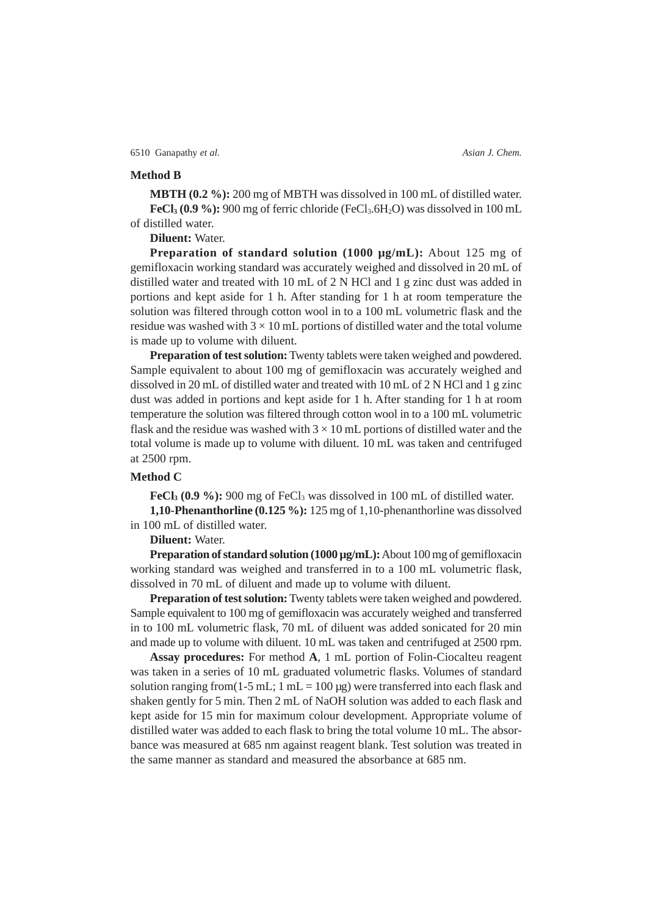## **Method B**

**MBTH (0.2 %):** 200 mg of MBTH was dissolved in 100 mL of distilled water. **FeCl<sub>3</sub>** (0.9 %): 900 mg of ferric chloride (FeCl<sub>3</sub>.6H<sub>2</sub>O) was dissolved in 100 mL of distilled water.

**Diluent:** Water.

**Preparation of standard solution (1000 µg/mL):** About 125 mg of gemifloxacin working standard was accurately weighed and dissolved in 20 mL of distilled water and treated with 10 mL of 2 N HCl and 1 g zinc dust was added in portions and kept aside for 1 h. After standing for 1 h at room temperature the solution was filtered through cotton wool in to a 100 mL volumetric flask and the residue was washed with  $3 \times 10$  mL portions of distilled water and the total volume is made up to volume with diluent.

**Preparation of test solution:** Twenty tablets were taken weighed and powdered. Sample equivalent to about 100 mg of gemifloxacin was accurately weighed and dissolved in 20 mL of distilled water and treated with 10 mL of 2 N HCl and 1 g zinc dust was added in portions and kept aside for 1 h. After standing for 1 h at room temperature the solution was filtered through cotton wool in to a 100 mL volumetric flask and the residue was washed with  $3 \times 10$  mL portions of distilled water and the total volume is made up to volume with diluent. 10 mL was taken and centrifuged at 2500 rpm.

## **Method C**

**FeCl<sub>3</sub>** (0.9 %): 900 mg of FeCl<sub>3</sub> was dissolved in 100 mL of distilled water. **1,10-Phenanthorline (0.125 %):** 125 mg of 1,10-phenanthorline was dissolved in 100 mL of distilled water.

**Diluent:** Water.

**Preparation of standard solution (1000 µg/mL):** About 100 mg of gemifloxacin working standard was weighed and transferred in to a 100 mL volumetric flask, dissolved in 70 mL of diluent and made up to volume with diluent.

**Preparation of test solution:** Twenty tablets were taken weighed and powdered. Sample equivalent to 100 mg of gemifloxacin was accurately weighed and transferred in to 100 mL volumetric flask, 70 mL of diluent was added sonicated for 20 min and made up to volume with diluent. 10 mL was taken and centrifuged at 2500 rpm.

**Assay procedures:** For method **A**, 1 mL portion of Folin-Ciocalteu reagent was taken in a series of 10 mL graduated volumetric flasks. Volumes of standard solution ranging from(1-5 mL; 1 mL =  $100 \mu$ g) were transferred into each flask and shaken gently for 5 min. Then 2 mL of NaOH solution was added to each flask and kept aside for 15 min for maximum colour development. Appropriate volume of distilled water was added to each flask to bring the total volume 10 mL. The absorbance was measured at 685 nm against reagent blank. Test solution was treated in the same manner as standard and measured the absorbance at 685 nm.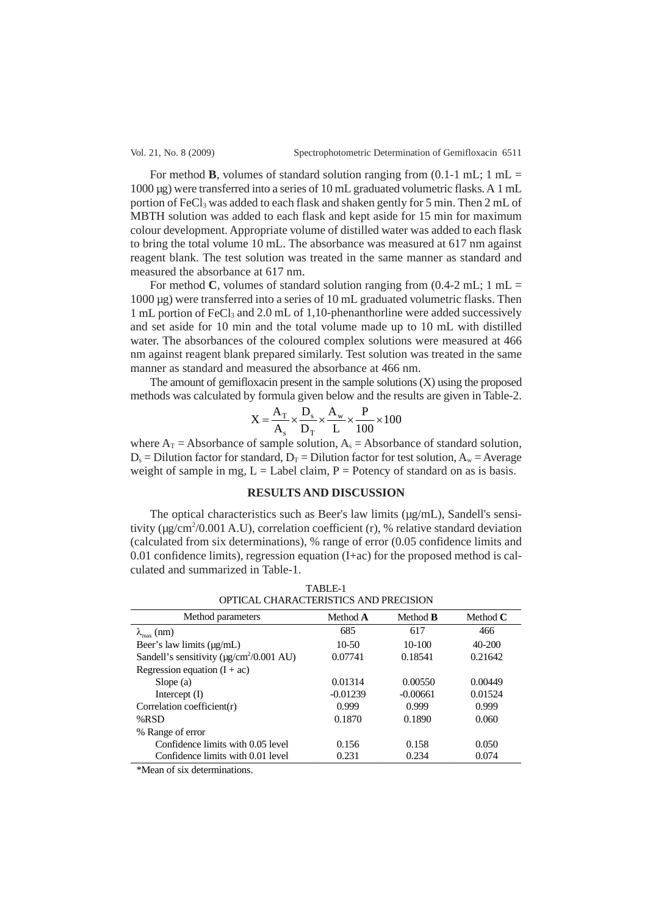For method **B**, volumes of standard solution ranging from  $(0.1-1 \text{ mL})$ ; 1 mL = 1000 µg) were transferred into a series of 10 mL graduated volumetric flasks. A 1 mL portion of FeCl<sub>3</sub> was added to each flask and shaken gently for 5 min. Then 2 mL of MBTH solution was added to each flask and kept aside for 15 min for maximum colour development. Appropriate volume of distilled water was added to each flask to bring the total volume 10 mL. The absorbance was measured at 617 nm against reagent blank. The test solution was treated in the same manner as standard and measured the absorbance at 617 nm.

For method **C**, volumes of standard solution ranging from  $(0.4-2 \text{ mL})$ ; 1 mL = 1000 µg) were transferred into a series of 10 mL graduated volumetric flasks. Then 1 mL portion of FeCl<sub>3</sub> and 2.0 mL of 1,10-phenanthorline were added successively and set aside for 10 min and the total volume made up to 10 mL with distilled water. The absorbances of the coloured complex solutions were measured at 466 nm against reagent blank prepared similarly. Test solution was treated in the same manner as standard and measured the absorbance at 466 nm.

The amount of gemifloxacin present in the sample solutions (X) using the proposed methods was calculated by formula given below and the results are given in Table-2.

$$
X = \frac{A_T}{A_s} \times \frac{D_s}{D_T} \times \frac{A_w}{L} \times \frac{P}{100} \times 100
$$

where  $A_T =$  Absorbance of sample solution,  $A_s =$  Absorbance of standard solution,  $D_s = Dilution factor for standard, D_T = Dilution factor for test solution, A_w = Average$ weight of sample in mg,  $L =$  Label claim,  $P =$  Potency of standard on as is basis.

## **RESULTS AND DISCUSSION**

The optical characteristics such as Beer's law limits (µg/mL), Sandell's sensitivity ( $\mu$ g/cm<sup>2</sup>/0.001 A.U), correlation coefficient (r), % relative standard deviation (calculated from six determinations), % range of error (0.05 confidence limits and 0.01 confidence limits), regression equation  $(I + ac)$  for the proposed method is calculated and summarized in Table-1.

TABLE-1 OPTICAL CHARACTERISTICS AND PRECISION

| Method parameters                                          | Method A   | Method <b>B</b> | Method $C$ |
|------------------------------------------------------------|------------|-----------------|------------|
| $\lambda_{\text{max}}$ (nm)                                | 685        | 617             | 466        |
| Beer's law limits $(\mu g/mL)$                             | $10-50$    | 10-100          | $40 - 200$ |
| Sandell's sensitivity ( $\mu$ g/cm <sup>2</sup> /0.001 AU) | 0.07741    | 0.18541         | 0.21642    |
| Regression equation $(I + ac)$                             |            |                 |            |
| Slope $(a)$                                                | 0.01314    | 0.00550         | 0.00449    |
| Intercept $(I)$                                            | $-0.01239$ | $-0.00661$      | 0.01524    |
| Correlation coefficient( $r$ )                             | 0.999      | 0.999           | 0.999      |
| % $RSD$                                                    | 0.1870     | 0.1890          | 0.060      |
| % Range of error                                           |            |                 |            |
| Confidence limits with 0.05 level                          | 0.156      | 0.158           | 0.050      |
| Confidence limits with 0.01 level                          | 0.231      | 0.234           | 0.074      |

\*Mean of six determinations.